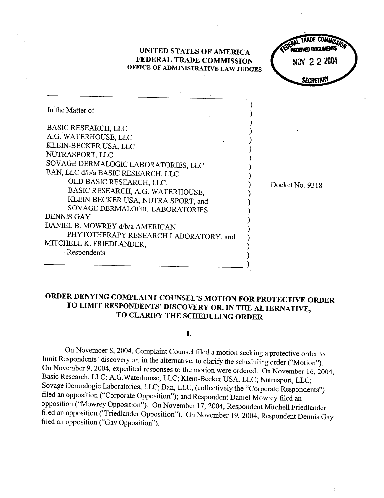## UNITED STATES OF AMRICA FEDERAL TRADE COMMISSION OFFICE OF ADMINISTRATIVE LAW JUDGES

**RECEIVED DOCUM** NOV 2 2 2004 SECRETARY

Docket No. 9318

 $\lambda$ 

| In the Matter of                      |  |
|---------------------------------------|--|
| <b>BASIC RESEARCH, LLC</b>            |  |
| A.G. WATERHOUSE, LLC                  |  |
| KLEIN-BECKER USA, LLC                 |  |
| NUTRASPORT, LLC                       |  |
| SOVAGE DERMALOGIC LABORATORIES, LLC   |  |
| BAN, LLC d/b/a BASIC RESEARCH, LLC    |  |
| OLD BASIC RESEARCH, LLC,              |  |
| BASIC RESEARCH, A.G. WATERHOUSE,      |  |
| KLEIN-BECKER USA, NUTRA SPORT, and    |  |
| SOVAGE DERMALOGIC LABORATORIES        |  |
| <b>DENNIS GAY</b>                     |  |
| DANIEL B. MOWREY d/b/a AMERICAN       |  |
| PHYTOTHERAPY RESEARCH LABORATORY, and |  |
| MITCHELL K. FRIEDLANDER,              |  |
| Respondents.                          |  |
|                                       |  |

## ORDER DENYING COMPLAINT COUNSEL'S MOTION FOR PROTECTIVE ORDER TO LIMIT RESPONDENTS' DISCOVERY OR, IN THE ALTERNATIVE TO CLARFY THE SCHEDULING ORDER

## I.

On November 8, 2004, Complaint Counsel filed a motion seeking a protective order to limit Respondents' discovery or, in the alternative, to clarify the scheduling order ("Motion").<br>On November 9, 2004, expedited responses to the motion were ordered. On November 16, 2004, Basic Research, LLC; A.G.Waterhouse, LLC; Klein-Becker USA, LLC; Nutrasport, LLC; Sovage Dermalogic Laboratories, LLC; Ban, LLC, (collectively the "Corporate Respondents") filed an opposition ("Corporate Opposition"); and Respondent Daniel Mowrey filed an opposition ("Mowrey Opposition"). On November 17, 2004, Respondent Mitchell Friedlander filed an opposition ("Friedlander Opposition"). On November 19, 2004, Respondent Dennis Gay filed an opposition ("Gay Opposition").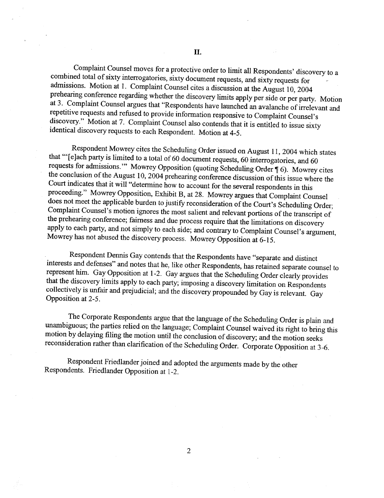Complaint Counsel moves for a protective order to limit all Respondents' discovery to a combined total of sixty interrogatories, sixty document requests, and sixty requests for admissions. Motion at 1. Complaint Counsel ci at 3. Complaint Counsel argues that "Respondents have launched an avalanche of irrelevant and repetitive requests and refused to provide information responsive to Complaint Counsel's discovery." Motion at 7. Complaint Counsel also contends that it is entitled to issue sixty identical discovery requests to each Respondent. Motion at 4-

Respondent Mowrey cites the Scheduling Order issued on August 11 , 2004 which states that "'[e]ach party is limited to a total of 60 document requests, 60 interrogatories, and 60 requests for admissions." Mowrey Opposition (quoting Scheduling Order  $\P$  6). Mowrey cites the conclusion of the August 10, 2004 prehearing conference discussion of this issue where the Court indicates that it will "determine how to account for the several respondents in this proceeding." Mowrey Opposition, Exhibit B, at 28. Mowrey argues that Complaint Counsel does not meet the applicable burden to justify reconsideration of the Court's Scheduling Order; Complaint Counsel's motion ignores the most salient and relevant portons of the transcript of the prehearing conference; fairness and due process require that the limitations on discovery apply to each party, and not simply to each side; and contrary to Complaint Counsel's argument, Mowrey has not abused the discovery process. Mowrey Opposition at 6-15.

Respondent Dennis Gay contends that the Respondents have "separate and distinct interests and defenses" arld notes that he, like other Respondents, has retained separate counsel to represent him. Gay Opposition at 1-2. Gay argues that the Scheduling Order clearly provides that the discovery limts apply to each party; imposing a discovery limtation on Respondents collectively is unfair and prejudicial; and the discovery propounded by Gay is relevant. Gay Opposition at 2-

The Corporate Respondents argue that the language of the Scheduling Order is plain and unambiguous; the paries relied on the language; Complaint Counsel waived its right to bring this motion by delaying filing the motion until the conclusion of discovery; and the motion seeks reconsideration rather than clarification of the Scheduling Order. Corporate Opposition at 3-6.

Respondent Friedlander joined and adopted the arguments made by the other Respondents. Friedlander Opposition at 1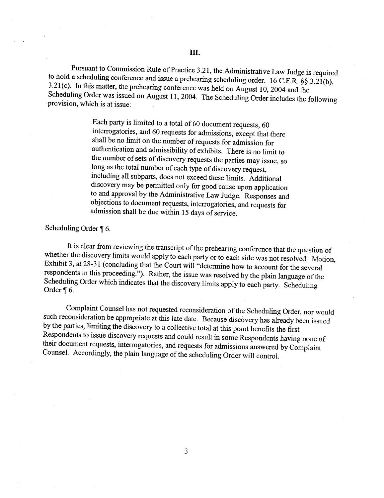Pursuant to Commission Rule of Practice 3.21, the Administrative Law Judge is required to hold a scheduling conference and issue a prehearing scheduling order. 16 C.F.R. §§ 3.21(b),  $t3.21(c)$ . In this matter, the prehearing conference was held on August 10, 2004 and the Scheduling Order was issued on August 11, 2004. The Scheduling Order includes the following provision, which is at issue:

> Each party is limited to a total of 60 document requests, 60 interrogatories, and 60 requests for admissions, except that there shall be no limit on the number of requests for admission for authentication and admissibility of exhbits. There is no limit to the number of sets of discovery requests the paries may issue, so long as the total number of each type of discovery request, including all subpars, does not exceed these limits. Additional discovery may be pennitted only for good cause upon application to and approval by the Administrative Law Judge. Responses and objections to document requests, interrogatories, and requests for admission shall be due within 15 days of service.

Scheduling Order  $\P$  6.

It is clear from reviewing the transcript of the prehearing conference that the question of whether the discovery limits would apply to each party or to each side was not resolved. Motion, Exhibit 3, at 28-31 (concluding t respondents in this proceeding."). Rather, the issue was resolved by the plain language of the Scheduling Order which indicates that the discovery limits apply to each party. Scheduling Order ¶ 6.

Complaint Counsel has not requested reconsideration of the Scheduling Order, nor would such reconsideration be appropriate at this late date. Because discovery has already been issued by the paries, limting the discovery to a collective total at this point benefits the first Respondents to issue discovery requests and could result in some Respondents having none of their document requests, interrogatories, and requests for admissions answered by Complaint Counsel. Accordingly, the plain language of the scheduling Order will control.

3